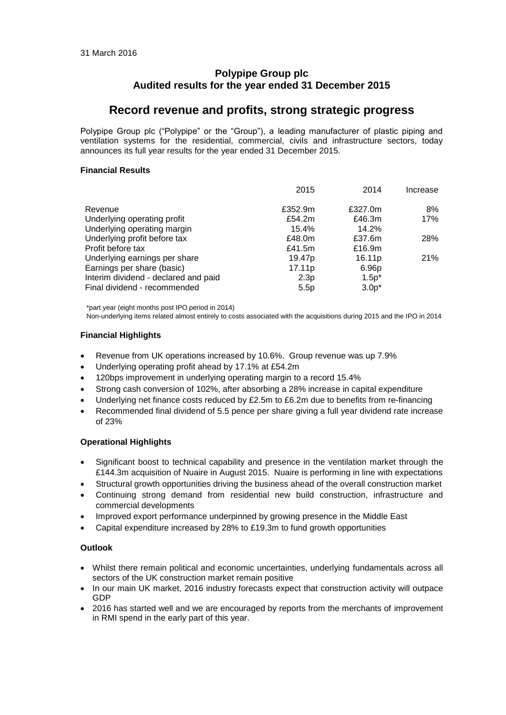# **Polypipe Group plc Audited results for the year ended 31 December 2015**

# **Record revenue and profits, strong strategic progress**

Polypipe Group plc ("Polypipe" or the "Group"), a leading manufacturer of plastic piping and ventilation systems for the residential, commercial, civils and infrastructure sectors, today announces its full year results for the year ended 31 December 2015.

# **Financial Results**

|                                      | 2015               | 2014               | Increase |
|--------------------------------------|--------------------|--------------------|----------|
| Revenue                              | £352.9m            | £327.0m            | 8%       |
| Underlying operating profit          | £54.2m             | £46.3m             | 17%      |
| Underlying operating margin          | 15.4%              | 14.2%              |          |
| Underlying profit before tax         | £48.0m             | £37.6m             | 28%      |
| Profit before tax                    | £41.5m             | £16.9m             |          |
| Underlying earnings per share        | 19.47 <sub>p</sub> | 16.11 <sub>p</sub> | 21%      |
| Earnings per share (basic)           | 17.11 <sub>p</sub> | 6.96p              |          |
| Interim dividend - declared and paid | 2.3p               | $1.5p*$            |          |
| Final dividend - recommended         | 5.5p               | $3.0p*$            |          |

\*part year (eight months post IPO period in 2014)

Non-underlying items related almost entirely to costs associated with the acquisitions during 2015 and the IPO in 2014

# **Financial Highlights**

- Revenue from UK operations increased by 10.6%. Group revenue was up 7.9%
- Underlying operating profit ahead by 17.1% at £54.2m
- 120bps improvement in underlying operating margin to a record 15.4%
- Strong cash conversion of 102%, after absorbing a 28% increase in capital expenditure
- Underlying net finance costs reduced by £2.5m to £6.2m due to benefits from re-financing
- Recommended final dividend of 5.5 pence per share giving a full year dividend rate increase of 23%

# **Operational Highlights**

- Significant boost to technical capability and presence in the ventilation market through the £144.3m acquisition of Nuaire in August 2015. Nuaire is performing in line with expectations
- Structural growth opportunities driving the business ahead of the overall construction market
- Continuing strong demand from residential new build construction, infrastructure and commercial developments
- Improved export performance underpinned by growing presence in the Middle East
- Capital expenditure increased by 28% to £19.3m to fund growth opportunities

# **Outlook**

- Whilst there remain political and economic uncertainties, underlying fundamentals across all sectors of the UK construction market remain positive
- In our main UK market, 2016 industry forecasts expect that construction activity will outpace GDP
- 2016 has started well and we are encouraged by reports from the merchants of improvement in RMI spend in the early part of this year.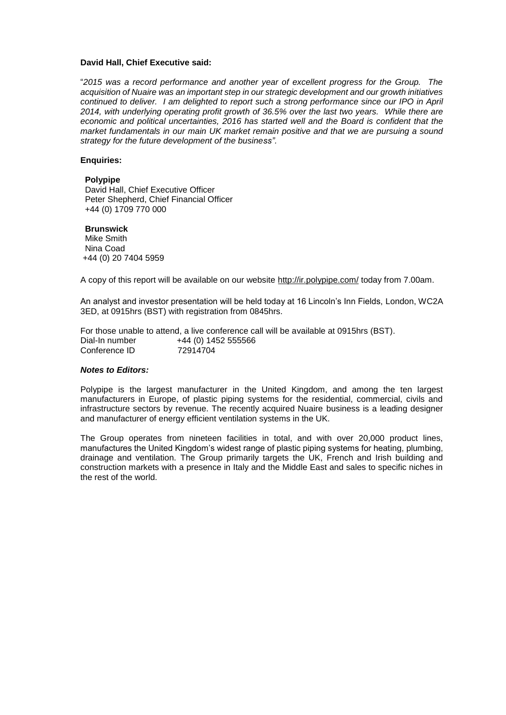# **David Hall, Chief Executive said:**

"*2015 was a record performance and another year of excellent progress for the Group. The acquisition of Nuaire was an important step in our strategic development and our growth initiatives continued to deliver. I am delighted to report such a strong performance since our IPO in April 2014, with underlying operating profit growth of 36.5% over the last two years. While there are economic and political uncertainties, 2016 has started well and the Board is confident that the market fundamentals in our main UK market remain positive and that we are pursuing a sound strategy for the future development of the business".*

## **Enquiries:**

## **Polypipe**

David Hall, Chief Executive Officer Peter Shepherd, Chief Financial Officer +44 (0) 1709 770 000

## **Brunswick**

Mike Smith Nina Coad +44 (0) 20 7404 5959

A copy of this report will be available on our website<http://ir.polypipe.com/> today from 7.00am.

An analyst and investor presentation will be held today at 16 Lincoln's Inn Fields, London, WC2A 3ED, at 0915hrs (BST) with registration from 0845hrs.

For those unable to attend, a live conference call will be available at 0915hrs (BST). Dial-In number +44 (0) 1452 555566 Conference ID 72914704

# *Notes to Editors:*

Polypipe is the largest manufacturer in the United Kingdom, and among the ten largest manufacturers in Europe, of plastic piping systems for the residential, commercial, civils and infrastructure sectors by revenue. The recently acquired Nuaire business is a leading designer and manufacturer of energy efficient ventilation systems in the UK.

The Group operates from nineteen facilities in total, and with over 20,000 product lines, manufactures the United Kingdom's widest range of plastic piping systems for heating, plumbing, drainage and ventilation. The Group primarily targets the UK, French and Irish building and construction markets with a presence in Italy and the Middle East and sales to specific niches in the rest of the world.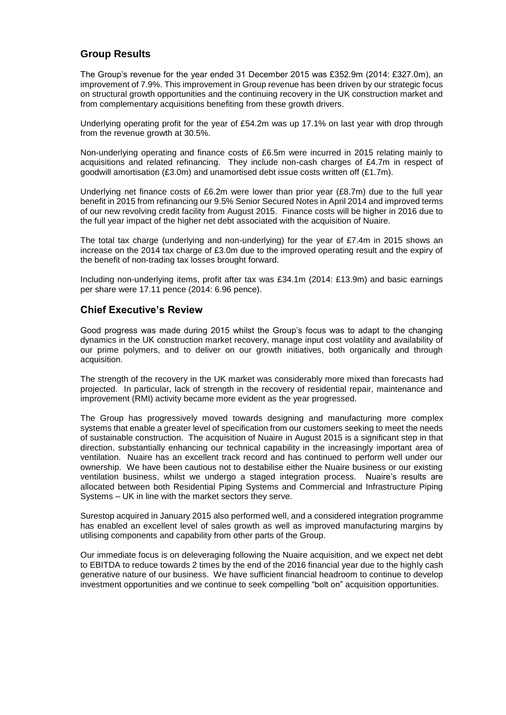# **Group Results**

The Group's revenue for the year ended 31 December 2015 was £352.9m (2014: £327.0m), an improvement of 7.9%. This improvement in Group revenue has been driven by our strategic focus on structural growth opportunities and the continuing recovery in the UK construction market and from complementary acquisitions benefiting from these growth drivers.

Underlying operating profit for the year of £54.2m was up 17.1% on last year with drop through from the revenue growth at 30.5%.

Non-underlying operating and finance costs of £6.5m were incurred in 2015 relating mainly to acquisitions and related refinancing. They include non-cash charges of £4.7m in respect of goodwill amortisation (£3.0m) and unamortised debt issue costs written off (£1.7m).

Underlying net finance costs of £6.2m were lower than prior year (£8.7m) due to the full year benefit in 2015 from refinancing our 9.5% Senior Secured Notes in April 2014 and improved terms of our new revolving credit facility from August 2015. Finance costs will be higher in 2016 due to the full year impact of the higher net debt associated with the acquisition of Nuaire.

The total tax charge (underlying and non-underlying) for the year of £7.4m in 2015 shows an increase on the 2014 tax charge of £3.0m due to the improved operating result and the expiry of the benefit of non-trading tax losses brought forward.

Including non-underlying items, profit after tax was £34.1m (2014: £13.9m) and basic earnings per share were 17.11 pence (2014: 6.96 pence).

# **Chief Executive's Review**

Good progress was made during 2015 whilst the Group's focus was to adapt to the changing dynamics in the UK construction market recovery, manage input cost volatility and availability of our prime polymers, and to deliver on our growth initiatives, both organically and through acquisition.

The strength of the recovery in the UK market was considerably more mixed than forecasts had projected. In particular, lack of strength in the recovery of residential repair, maintenance and improvement (RMI) activity became more evident as the year progressed.

The Group has progressively moved towards designing and manufacturing more complex systems that enable a greater level of specification from our customers seeking to meet the needs of sustainable construction. The acquisition of Nuaire in August 2015 is a significant step in that direction, substantially enhancing our technical capability in the increasingly important area of ventilation. Nuaire has an excellent track record and has continued to perform well under our ownership. We have been cautious not to destabilise either the Nuaire business or our existing ventilation business, whilst we undergo a staged integration process. Nuaire's results are allocated between both Residential Piping Systems and Commercial and Infrastructure Piping Systems – UK in line with the market sectors they serve.

Surestop acquired in January 2015 also performed well, and a considered integration programme has enabled an excellent level of sales growth as well as improved manufacturing margins by utilising components and capability from other parts of the Group.

Our immediate focus is on deleveraging following the Nuaire acquisition, and we expect net debt to EBITDA to reduce towards 2 times by the end of the 2016 financial year due to the highly cash generative nature of our business. We have sufficient financial headroom to continue to develop investment opportunities and we continue to seek compelling "bolt on" acquisition opportunities.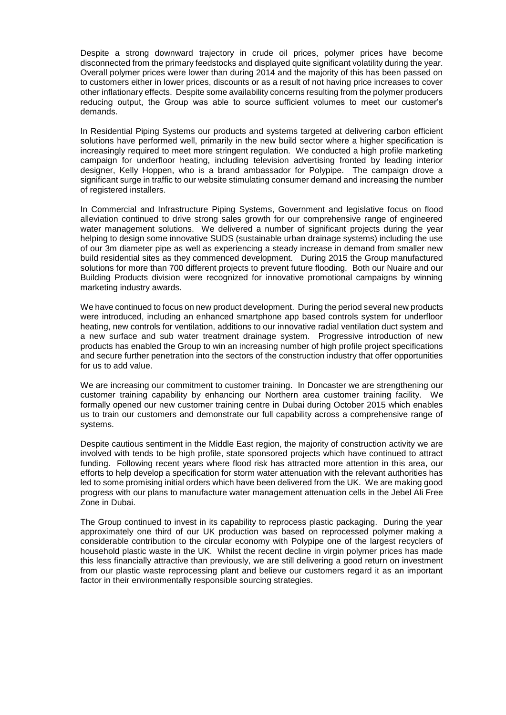Despite a strong downward trajectory in crude oil prices, polymer prices have become disconnected from the primary feedstocks and displayed quite significant volatility during the year. Overall polymer prices were lower than during 2014 and the majority of this has been passed on to customers either in lower prices, discounts or as a result of not having price increases to cover other inflationary effects. Despite some availability concerns resulting from the polymer producers reducing output, the Group was able to source sufficient volumes to meet our customer's demands.

In Residential Piping Systems our products and systems targeted at delivering carbon efficient solutions have performed well, primarily in the new build sector where a higher specification is increasingly required to meet more stringent regulation. We conducted a high profile marketing campaign for underfloor heating, including television advertising fronted by leading interior designer, Kelly Hoppen, who is a brand ambassador for Polypipe. The campaign drove a significant surge in traffic to our website stimulating consumer demand and increasing the number of registered installers.

In Commercial and Infrastructure Piping Systems, Government and legislative focus on flood alleviation continued to drive strong sales growth for our comprehensive range of engineered water management solutions. We delivered a number of significant projects during the year helping to design some innovative SUDS (sustainable urban drainage systems) including the use of our 3m diameter pipe as well as experiencing a steady increase in demand from smaller new build residential sites as they commenced development. During 2015 the Group manufactured solutions for more than 700 different projects to prevent future flooding. Both our Nuaire and our Building Products division were recognized for innovative promotional campaigns by winning marketing industry awards.

We have continued to focus on new product development. During the period several new products were introduced, including an enhanced smartphone app based controls system for underfloor heating, new controls for ventilation, additions to our innovative radial ventilation duct system and a new surface and sub water treatment drainage system. Progressive introduction of new products has enabled the Group to win an increasing number of high profile project specifications and secure further penetration into the sectors of the construction industry that offer opportunities for us to add value.

We are increasing our commitment to customer training. In Doncaster we are strengthening our customer training capability by enhancing our Northern area customer training facility. We formally opened our new customer training centre in Dubai during October 2015 which enables us to train our customers and demonstrate our full capability across a comprehensive range of systems.

Despite cautious sentiment in the Middle East region, the majority of construction activity we are involved with tends to be high profile, state sponsored projects which have continued to attract funding. Following recent years where flood risk has attracted more attention in this area, our efforts to help develop a specification for storm water attenuation with the relevant authorities has led to some promising initial orders which have been delivered from the UK. We are making good progress with our plans to manufacture water management attenuation cells in the Jebel Ali Free Zone in Dubai.

The Group continued to invest in its capability to reprocess plastic packaging. During the year approximately one third of our UK production was based on reprocessed polymer making a considerable contribution to the circular economy with Polypipe one of the largest recyclers of household plastic waste in the UK. Whilst the recent decline in virgin polymer prices has made this less financially attractive than previously, we are still delivering a good return on investment from our plastic waste reprocessing plant and believe our customers regard it as an important factor in their environmentally responsible sourcing strategies.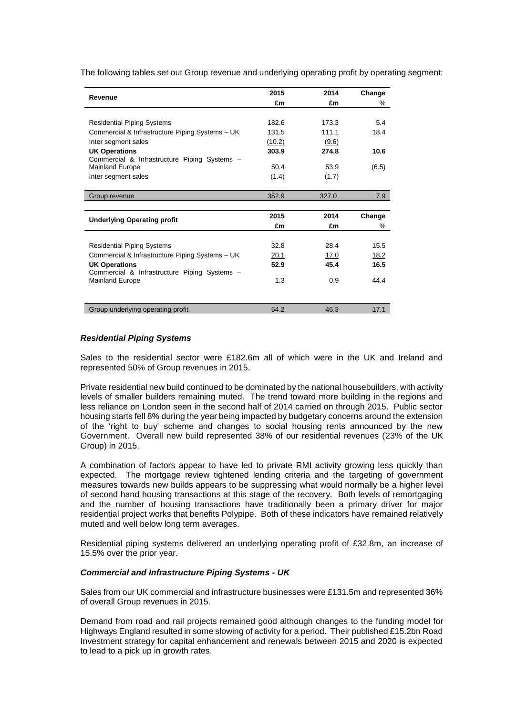| Revenue                                         | 2015   | 2014  | Change |
|-------------------------------------------------|--------|-------|--------|
|                                                 | £m     | £m    | %      |
|                                                 |        |       |        |
| <b>Residential Piping Systems</b>               | 182.6  | 173.3 | 5.4    |
| Commercial & Infrastructure Piping Systems - UK | 131.5  | 111.1 | 18.4   |
| Inter segment sales                             | (10.2) | (9.6) |        |
| <b>UK Operations</b>                            | 303.9  | 274.8 | 10.6   |
| Commercial & Infrastructure Piping Systems -    |        |       |        |
| <b>Mainland Europe</b>                          | 50.4   | 53.9  | (6.5)  |
| Inter segment sales                             | (1.4)  | (1.7) |        |
| Group revenue                                   | 352.9  | 327.0 | 7.9    |
|                                                 |        |       |        |
| <b>Underlying Operating profit</b>              | 2015   | 2014  | Change |
|                                                 | £m     | £m    | $\%$   |

Residential Piping Systems **28.4** 28.4 15.5 Commercial & Infrastructure Piping Systems – UK 20.1 17.0 18.2 **UK Operations 52.9 45.4 16.5**

Mainland Europe 1.3 0.9 44.4

Group underlying operating profit 654.2 17.1

The following tables set out Group revenue and underlying operating profit by operating segment:

# *Residential Piping Systems*

Commercial & Infrastructure Piping Systems –

Sales to the residential sector were £182.6m all of which were in the UK and Ireland and represented 50% of Group revenues in 2015.

Private residential new build continued to be dominated by the national housebuilders, with activity levels of smaller builders remaining muted. The trend toward more building in the regions and less reliance on London seen in the second half of 2014 carried on through 2015. Public sector housing starts fell 8% during the year being impacted by budgetary concerns around the extension of the 'right to buy' scheme and changes to social housing rents announced by the new Government. Overall new build represented 38% of our residential revenues (23% of the UK Group) in 2015.

A combination of factors appear to have led to private RMI activity growing less quickly than expected. The mortgage review tightened lending criteria and the targeting of government measures towards new builds appears to be suppressing what would normally be a higher level of second hand housing transactions at this stage of the recovery. Both levels of remortgaging and the number of housing transactions have traditionally been a primary driver for major residential project works that benefits Polypipe. Both of these indicators have remained relatively muted and well below long term averages.

Residential piping systems delivered an underlying operating profit of £32.8m, an increase of 15.5% over the prior year.

# *Commercial and Infrastructure Piping Systems - UK*

Sales from our UK commercial and infrastructure businesses were £131.5m and represented 36% of overall Group revenues in 2015.

Demand from road and rail projects remained good although changes to the funding model for Highways England resulted in some slowing of activity for a period. Their published £15.2bn Road Investment strategy for capital enhancement and renewals between 2015 and 2020 is expected to lead to a pick up in growth rates.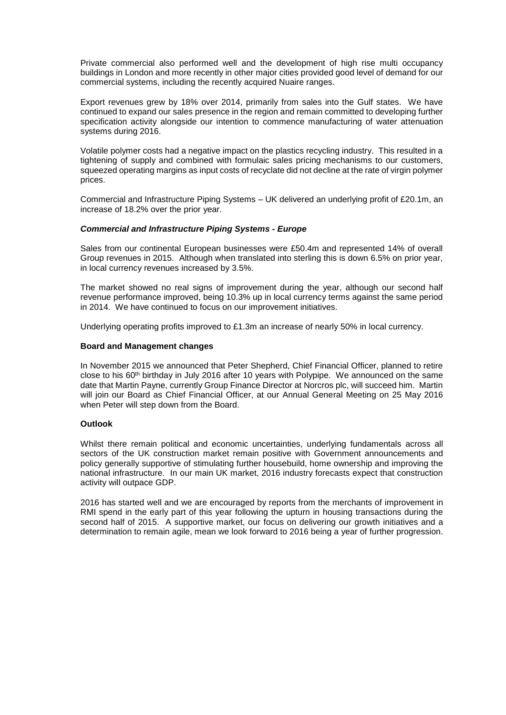Private commercial also performed well and the development of high rise multi occupancy buildings in London and more recently in other major cities provided good level of demand for our commercial systems, including the recently acquired Nuaire ranges.

Export revenues grew by 18% over 2014, primarily from sales into the Gulf states. We have continued to expand our sales presence in the region and remain committed to developing further specification activity alongside our intention to commence manufacturing of water attenuation systems during 2016.

Volatile polymer costs had a negative impact on the plastics recycling industry. This resulted in a tightening of supply and combined with formulaic sales pricing mechanisms to our customers, squeezed operating margins as input costs of recyclate did not decline at the rate of virgin polymer prices.

Commercial and Infrastructure Piping Systems – UK delivered an underlying profit of £20.1m, an increase of 18.2% over the prior year.

# *Commercial and Infrastructure Piping Systems - Europe*

Sales from our continental European businesses were £50.4m and represented 14% of overall Group revenues in 2015. Although when translated into sterling this is down 6.5% on prior year, in local currency revenues increased by 3.5%.

The market showed no real signs of improvement during the year, although our second half revenue performance improved, being 10.3% up in local currency terms against the same period in 2014. We have continued to focus on our improvement initiatives.

Underlying operating profits improved to £1.3m an increase of nearly 50% in local currency.

## **Board and Management changes**

In November 2015 we announced that Peter Shepherd, Chief Financial Officer, planned to retire close to his  $60<sup>th</sup>$  birthday in July 2016 after 10 years with Polypipe. We announced on the same date that Martin Payne, currently Group Finance Director at Norcros plc, will succeed him. Martin will join our Board as Chief Financial Officer, at our Annual General Meeting on 25 May 2016 when Peter will step down from the Board.

## **Outlook**

Whilst there remain political and economic uncertainties, underlying fundamentals across all sectors of the UK construction market remain positive with Government announcements and policy generally supportive of stimulating further housebuild, home ownership and improving the national infrastructure. In our main UK market, 2016 industry forecasts expect that construction activity will outpace GDP.

2016 has started well and we are encouraged by reports from the merchants of improvement in RMI spend in the early part of this year following the upturn in housing transactions during the second half of 2015. A supportive market, our focus on delivering our growth initiatives and a determination to remain agile, mean we look forward to 2016 being a year of further progression.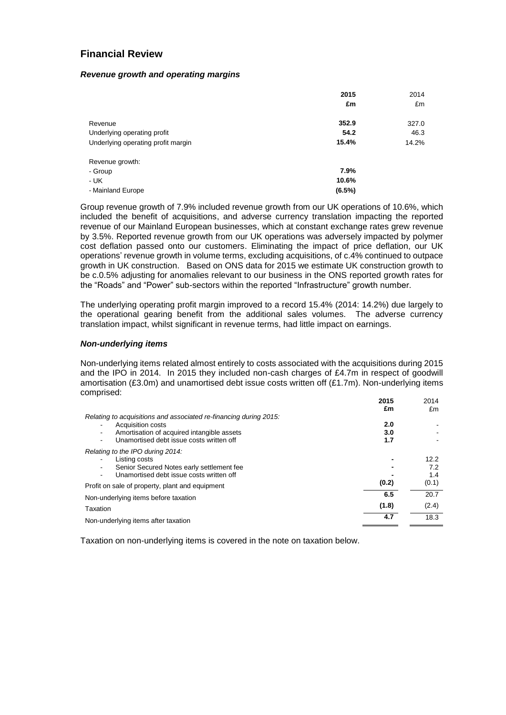# **Financial Review**

## *Revenue growth and operating margins*

|                                    | 2015<br>£m | 2014<br>£m |
|------------------------------------|------------|------------|
| Revenue                            | 352.9      | 327.0      |
| Underlying operating profit        | 54.2       | 46.3       |
| Underlying operating profit margin | 15.4%      | 14.2%      |
| Revenue growth:                    |            |            |
| - Group                            | 7.9%       |            |
| $- UK$                             | 10.6%      |            |
| - Mainland Europe                  | $(6.5\%)$  |            |

Group revenue growth of 7.9% included revenue growth from our UK operations of 10.6%, which included the benefit of acquisitions, and adverse currency translation impacting the reported revenue of our Mainland European businesses, which at constant exchange rates grew revenue by 3.5%. Reported revenue growth from our UK operations was adversely impacted by polymer cost deflation passed onto our customers. Eliminating the impact of price deflation, our UK operations' revenue growth in volume terms, excluding acquisitions, of c.4% continued to outpace growth in UK construction. Based on ONS data for 2015 we estimate UK construction growth to be c.0.5% adjusting for anomalies relevant to our business in the ONS reported growth rates for the "Roads" and "Power" sub-sectors within the reported "Infrastructure" growth number.

The underlying operating profit margin improved to a record 15.4% (2014: 14.2%) due largely to the operational gearing benefit from the additional sales volumes. The adverse currency translation impact, whilst significant in revenue terms, had little impact on earnings.

# *Non-underlying items*

Non-underlying items related almost entirely to costs associated with the acquisitions during 2015 and the IPO in 2014. In 2015 they included non-cash charges of £4.7m in respect of goodwill amortisation (£3.0m) and unamortised debt issue costs written off (£1.7m). Non-underlying items comprised:

|                                                                   | 2015  | 2014  |
|-------------------------------------------------------------------|-------|-------|
|                                                                   | £m    | £m    |
| Relating to acquisitions and associated re-financing during 2015: |       |       |
| Acquisition costs<br>$\blacksquare$                               | 2.0   |       |
| Amortisation of acquired intangible assets<br>$\blacksquare$      | 3.0   |       |
| Unamortised debt issue costs written off                          | 1.7   |       |
| Relating to the IPO during 2014.                                  |       |       |
| Listing costs                                                     |       | 12.2  |
| Senior Secured Notes early settlement fee<br>$\blacksquare$       |       | 7.2   |
| Unamortised debt issue costs written off                          |       | 1.4   |
| Profit on sale of property, plant and equipment                   | (0.2) | (0.1) |
| Non-underlying items before taxation                              | 6.5   | 20.7  |
| Taxation                                                          | (1.8) | (2.4) |
| Non-underlying items after taxation                               | 4.7   | 18.3  |
|                                                                   |       |       |

Taxation on non-underlying items is covered in the note on taxation below.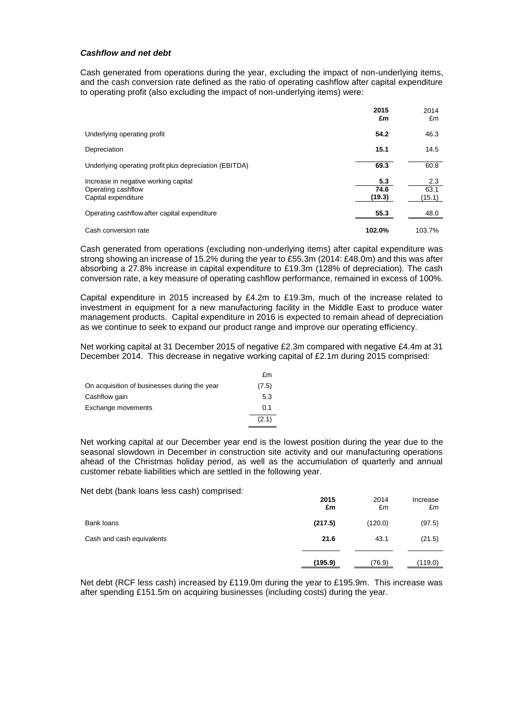# *Cashflow and net debt*

Cash generated from operations during the year, excluding the impact of non-underlying items, and the cash conversion rate defined as the ratio of operating cashflow after capital expenditure to operating profit (also excluding the impact of non-underlying items) were:

|                                                                                   | 2015<br>£m            | 2014<br>£m            |
|-----------------------------------------------------------------------------------|-----------------------|-----------------------|
| Underlying operating profit                                                       | 54.2                  | 46.3                  |
| Depreciation                                                                      | 15.1                  | 14.5                  |
| Underlying operating profit plus depreciation (EBITDA)                            | 69.3                  | 60.8                  |
| Increase in negative working capital<br>Operating cashflow<br>Capital expenditure | 5.3<br>74.6<br>(19.3) | 2.3<br>63.1<br>(15.1) |
| Operating cashflow after capital expenditure                                      | 55.3                  | 48.0                  |
| Cash conversion rate                                                              | 102.0%                | 103.7%                |

Cash generated from operations (excluding non-underlying items) after capital expenditure was strong showing an increase of 15.2% during the year to £55.3m (2014: £48.0m) and this was after absorbing a 27.8% increase in capital expenditure to £19.3m (128% of depreciation). The cash conversion rate, a key measure of operating cashflow performance, remained in excess of 100%.

Capital expenditure in 2015 increased by £4.2m to £19.3m, much of the increase related to investment in equipment for a new manufacturing facility in the Middle East to produce water management products. Capital expenditure in 2016 is expected to remain ahead of depreciation as we continue to seek to expand our product range and improve our operating efficiency.

Net working capital at 31 December 2015 of negative £2.3m compared with negative £4.4m at 31 December 2014. This decrease in negative working capital of £2.1m during 2015 comprised:

|                                              | £m    |
|----------------------------------------------|-------|
| On acquisition of businesses during the year | (7.5) |
| Cashflow gain                                | 5.3   |
| Exchange movements                           | 0.1   |
|                                              | (2.1) |

Net working capital at our December year end is the lowest position during the year due to the seasonal slowdown in December in construction site activity and our manufacturing operations ahead of the Christmas holiday period, as well as the accumulation of quarterly and annual customer rebate liabilities which are settled in the following year.

Net debt (bank loans less cash) comprised:

|                           | 2015<br>£m | 2014<br>£m | Increase<br>£m |
|---------------------------|------------|------------|----------------|
| Bank loans                | (217.5)    | (120.0)    | (97.5)         |
| Cash and cash equivalents | 21.6       | 43.1       | (21.5)         |
|                           | (195.9)    | (76.9)     | (119.0)        |

Net debt (RCF less cash) increased by £119.0m during the year to £195.9m. This increase was after spending £151.5m on acquiring businesses (including costs) during the year.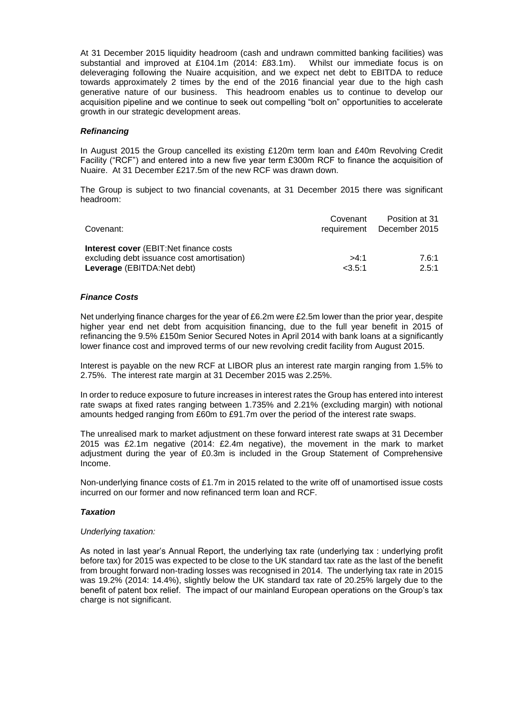At 31 December 2015 liquidity headroom (cash and undrawn committed banking facilities) was substantial and improved at £104.1m (2014: £83.1m). Whilst our immediate focus is on deleveraging following the Nuaire acquisition, and we expect net debt to EBITDA to reduce towards approximately 2 times by the end of the 2016 financial year due to the high cash generative nature of our business. This headroom enables us to continue to develop our acquisition pipeline and we continue to seek out compelling "bolt on" opportunities to accelerate growth in our strategic development areas.

# *Refinancing*

In August 2015 the Group cancelled its existing £120m term loan and £40m Revolving Credit Facility ("RCF") and entered into a new five year term £300m RCF to finance the acquisition of Nuaire. At 31 December £217.5m of the new RCF was drawn down.

The Group is subject to two financial covenants, at 31 December 2015 there was significant headroom:

| Covenant:                                                                                                                   | Covenant       | Position at 31<br>requirement December 2015 |
|-----------------------------------------------------------------------------------------------------------------------------|----------------|---------------------------------------------|
| <b>Interest cover</b> (EBIT:Net finance costs)<br>excluding debt issuance cost amortisation)<br>Leverage (EBITDA: Net debt) | >4:1<br>23.5:1 | 7.6:1<br>2.5:1                              |

# *Finance Costs*

Net underlying finance charges for the year of £6.2m were £2.5m lower than the prior year, despite higher year end net debt from acquisition financing, due to the full year benefit in 2015 of refinancing the 9.5% £150m Senior Secured Notes in April 2014 with bank loans at a significantly lower finance cost and improved terms of our new revolving credit facility from August 2015.

Interest is payable on the new RCF at LIBOR plus an interest rate margin ranging from 1.5% to 2.75%. The interest rate margin at 31 December 2015 was 2.25%.

In order to reduce exposure to future increases in interest rates the Group has entered into interest rate swaps at fixed rates ranging between 1.735% and 2.21% (excluding margin) with notional amounts hedged ranging from £60m to £91.7m over the period of the interest rate swaps.

The unrealised mark to market adjustment on these forward interest rate swaps at 31 December 2015 was £2.1m negative (2014: £2.4m negative), the movement in the mark to market adjustment during the year of £0.3m is included in the Group Statement of Comprehensive Income.

Non-underlying finance costs of £1.7m in 2015 related to the write off of unamortised issue costs incurred on our former and now refinanced term loan and RCF.

# *Taxation*

# *Underlying taxation:*

As noted in last year's Annual Report, the underlying tax rate (underlying tax : underlying profit before tax) for 2015 was expected to be close to the UK standard tax rate as the last of the benefit from brought forward non-trading losses was recognised in 2014. The underlying tax rate in 2015 was 19.2% (2014: 14.4%), slightly below the UK standard tax rate of 20.25% largely due to the benefit of patent box relief. The impact of our mainland European operations on the Group's tax charge is not significant.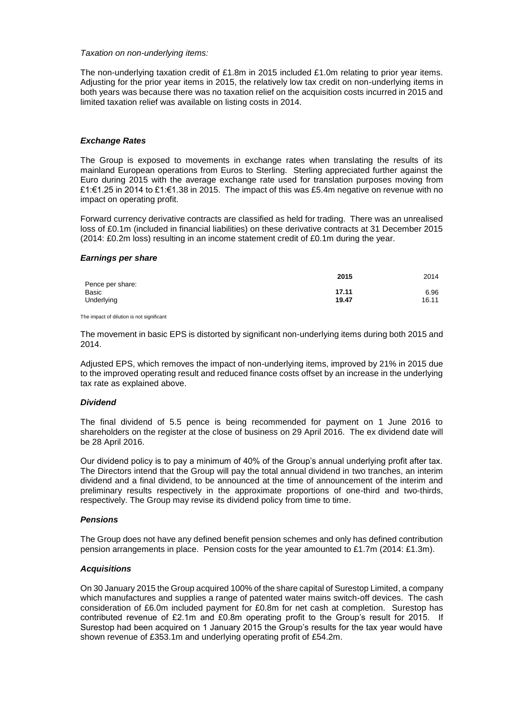## *Taxation on non-underlying items:*

The non-underlying taxation credit of £1.8m in 2015 included £1.0m relating to prior year items. Adjusting for the prior year items in 2015, the relatively low tax credit on non-underlying items in both years was because there was no taxation relief on the acquisition costs incurred in 2015 and limited taxation relief was available on listing costs in 2014.

# *Exchange Rates*

The Group is exposed to movements in exchange rates when translating the results of its mainland European operations from Euros to Sterling. Sterling appreciated further against the Euro during 2015 with the average exchange rate used for translation purposes moving from £1:€1.25 in 2014 to £1:€1.38 in 2015. The impact of this was £5.4m negative on revenue with no impact on operating profit.

Forward currency derivative contracts are classified as held for trading. There was an unrealised loss of £0.1m (included in financial liabilities) on these derivative contracts at 31 December 2015 (2014: £0.2m loss) resulting in an income statement credit of £0.1m during the year.

## *Earnings per share*

| 2014  |
|-------|
|       |
| 6.96  |
| 16.11 |
|       |

The impact of dilution is not significant

The movement in basic EPS is distorted by significant non-underlying items during both 2015 and 2014.

Adjusted EPS, which removes the impact of non-underlying items, improved by 21% in 2015 due to the improved operating result and reduced finance costs offset by an increase in the underlying tax rate as explained above.

# *Dividend*

The final dividend of 5.5 pence is being recommended for payment on 1 June 2016 to shareholders on the register at the close of business on 29 April 2016. The ex dividend date will be 28 April 2016.

Our dividend policy is to pay a minimum of 40% of the Group's annual underlying profit after tax. The Directors intend that the Group will pay the total annual dividend in two tranches, an interim dividend and a final dividend, to be announced at the time of announcement of the interim and preliminary results respectively in the approximate proportions of one-third and two-thirds, respectively. The Group may revise its dividend policy from time to time.

# *Pensions*

The Group does not have any defined benefit pension schemes and only has defined contribution pension arrangements in place. Pension costs for the year amounted to £1.7m (2014: £1.3m).

# *Acquisitions*

On 30 January 2015 the Group acquired 100% of the share capital of Surestop Limited, a company which manufactures and supplies a range of patented water mains switch-off devices. The cash consideration of £6.0m included payment for £0.8m for net cash at completion. Surestop has contributed revenue of £2.1m and £0.8m operating profit to the Group's result for 2015. If Surestop had been acquired on 1 January 2015 the Group's results for the tax year would have shown revenue of £353.1m and underlying operating profit of £54.2m.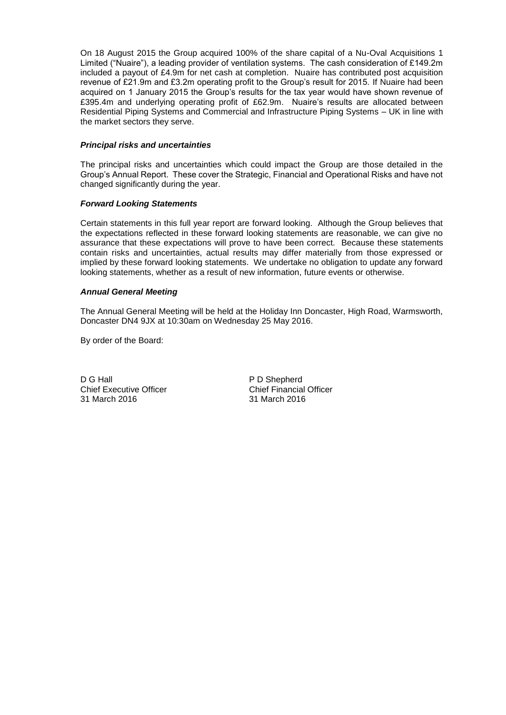On 18 August 2015 the Group acquired 100% of the share capital of a Nu-Oval Acquisitions 1 Limited ("Nuaire"), a leading provider of ventilation systems. The cash consideration of £149.2m included a payout of £4.9m for net cash at completion. Nuaire has contributed post acquisition revenue of £21.9m and £3.2m operating profit to the Group's result for 2015. If Nuaire had been acquired on 1 January 2015 the Group's results for the tax year would have shown revenue of £395.4m and underlying operating profit of £62.9m. Nuaire's results are allocated between Residential Piping Systems and Commercial and Infrastructure Piping Systems – UK in line with the market sectors they serve.

# *Principal risks and uncertainties*

The principal risks and uncertainties which could impact the Group are those detailed in the Group's Annual Report. These cover the Strategic, Financial and Operational Risks and have not changed significantly during the year.

# *Forward Looking Statements*

Certain statements in this full year report are forward looking. Although the Group believes that the expectations reflected in these forward looking statements are reasonable, we can give no assurance that these expectations will prove to have been correct. Because these statements contain risks and uncertainties, actual results may differ materially from those expressed or implied by these forward looking statements. We undertake no obligation to update any forward looking statements, whether as a result of new information, future events or otherwise.

# *Annual General Meeting*

The Annual General Meeting will be held at the Holiday Inn Doncaster, High Road, Warmsworth, Doncaster DN4 9JX at 10:30am on Wednesday 25 May 2016.

By order of the Board:

D G Hall<br>
Chief Executive Officer<br>
Chief Financial Officer Chief Executive Officer Chief Financial<br>31 March 2016 2016 31 March 2016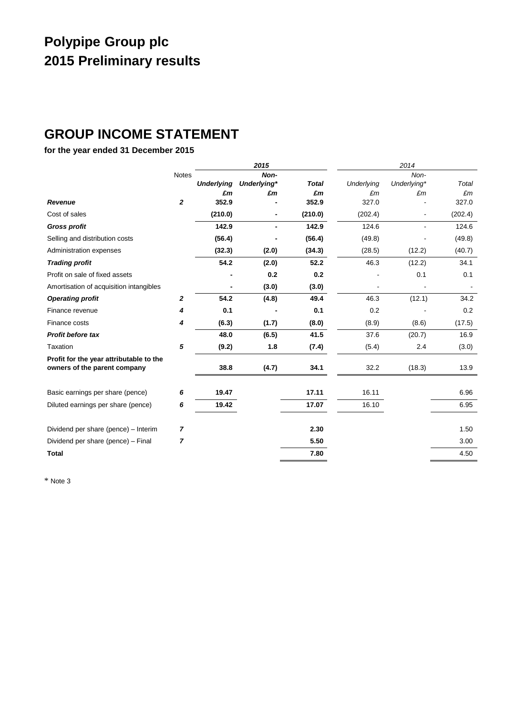# **Polypipe Group plc 2015 Preliminary results**

# **GROUP INCOME STATEMENT**

# **for the year ended 31 December 2015**

|                                                                         |                  |                         | 2015                      |                    |                         | 2014                      |             |
|-------------------------------------------------------------------------|------------------|-------------------------|---------------------------|--------------------|-------------------------|---------------------------|-------------|
|                                                                         | <b>Notes</b>     | <b>Underlying</b><br>£m | Non-<br>Underlying*<br>£m | <b>Total</b><br>£m | <b>Underlying</b><br>£m | Non-<br>Underlying*<br>£m | Total<br>£m |
| Revenue                                                                 | $\boldsymbol{2}$ | 352.9                   |                           | 352.9              | 327.0                   |                           | 327.0       |
| Cost of sales                                                           |                  | (210.0)                 |                           | (210.0)            | (202.4)                 | $\blacksquare$            | (202.4)     |
| <b>Gross profit</b>                                                     |                  | 142.9                   | ۰                         | 142.9              | 124.6                   | $\blacksquare$            | 124.6       |
| Selling and distribution costs                                          |                  | (56.4)                  |                           | (56.4)             | (49.8)                  |                           | (49.8)      |
| Administration expenses                                                 |                  | (32.3)                  | (2.0)                     | (34.3)             | (28.5)                  | (12.2)                    | (40.7)      |
| <b>Trading profit</b>                                                   |                  | 54.2                    | (2.0)                     | 52.2               | 46.3                    | (12.2)                    | 34.1        |
| Profit on sale of fixed assets                                          |                  |                         | 0.2                       | 0.2                |                         | 0.1                       | 0.1         |
| Amortisation of acquisition intangibles                                 |                  |                         | (3.0)                     | (3.0)              |                         |                           |             |
| <b>Operating profit</b>                                                 | $\mathbf{z}$     | 54.2                    | (4.8)                     | 49.4               | 46.3                    | (12.1)                    | 34.2        |
| Finance revenue                                                         | 4                | 0.1                     |                           | 0.1                | 0.2                     |                           | 0.2         |
| Finance costs                                                           | 4                | (6.3)                   | (1.7)                     | (8.0)              | (8.9)                   | (8.6)                     | (17.5)      |
| <b>Profit before tax</b>                                                |                  | 48.0                    | (6.5)                     | 41.5               | 37.6                    | (20.7)                    | 16.9        |
| Taxation                                                                | 5                | (9.2)                   | 1.8                       | (7.4)              | (5.4)                   | 2.4                       | (3.0)       |
| Profit for the year attributable to the<br>owners of the parent company |                  | 38.8                    | (4.7)                     | 34.1               | 32.2                    | (18.3)                    | 13.9        |
| Basic earnings per share (pence)                                        | 6                | 19.47                   |                           | 17.11              | 16.11                   |                           | 6.96        |
| Diluted earnings per share (pence)                                      | 6                | 19.42                   |                           | 17.07              | 16.10                   |                           | 6.95        |
| Dividend per share (pence) - Interim                                    | 7                |                         |                           | 2.30               |                         |                           | 1.50        |
| Dividend per share (pence) - Final                                      | $\overline{7}$   |                         |                           | 5.50               |                         |                           | 3.00        |
| <b>Total</b>                                                            |                  |                         |                           | 7.80               |                         |                           | 4.50        |

\* Note 3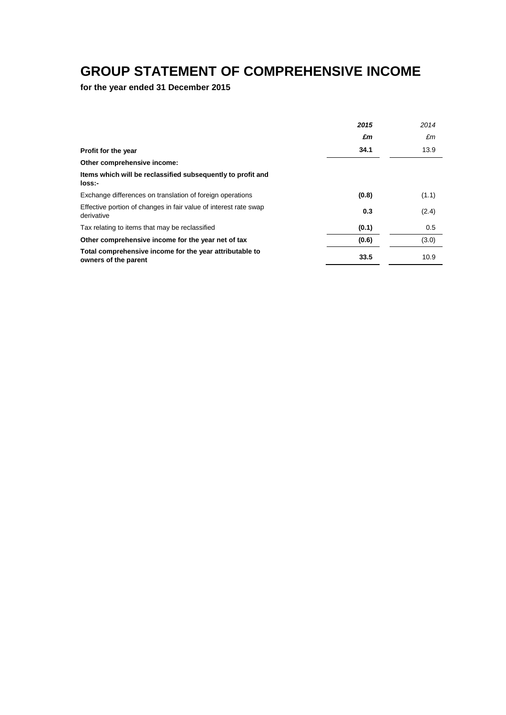# **GROUP STATEMENT OF COMPREHENSIVE INCOME**

**for the year ended 31 December 2015**

|                                                                                 | 2015  | 2014  |
|---------------------------------------------------------------------------------|-------|-------|
|                                                                                 | £m    | £m    |
| Profit for the year                                                             | 34.1  | 13.9  |
| Other comprehensive income:                                                     |       |       |
| Items which will be reclassified subsequently to profit and<br>loss:-           |       |       |
| Exchange differences on translation of foreign operations                       | (0.8) | (1.1) |
| Effective portion of changes in fair value of interest rate swap<br>derivative  | 0.3   | (2.4) |
| Tax relating to items that may be reclassified                                  | (0.1) | 0.5   |
| Other comprehensive income for the year net of tax                              | (0.6) | (3.0) |
| Total comprehensive income for the year attributable to<br>owners of the parent | 33.5  | 10.9  |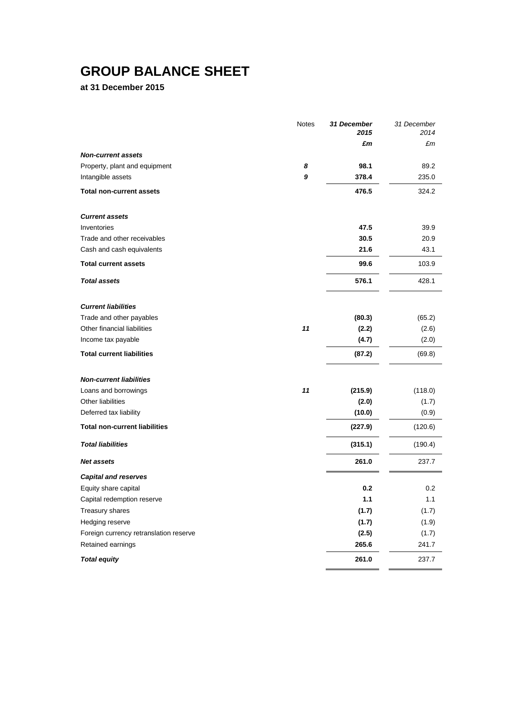# **GROUP BALANCE SHEET**

**at 31 December 2015**

|                                        | <b>Notes</b> | 31 December<br>2015 | 31 December<br>2014 |
|----------------------------------------|--------------|---------------------|---------------------|
|                                        |              | £m                  | £m                  |
| <b>Non-current assets</b>              |              |                     |                     |
| Property, plant and equipment          | 8            | 98.1                | 89.2                |
| Intangible assets                      | 9            | 378.4               | 235.0               |
| <b>Total non-current assets</b>        |              | 476.5               | 324.2               |
| <b>Current assets</b>                  |              |                     |                     |
| Inventories                            |              | 47.5                | 39.9                |
| Trade and other receivables            |              | 30.5                | 20.9                |
| Cash and cash equivalents              |              | 21.6                | 43.1                |
| <b>Total current assets</b>            |              | 99.6                | 103.9               |
| <b>Total assets</b>                    |              | 576.1               | 428.1               |
| <b>Current liabilities</b>             |              |                     |                     |
| Trade and other payables               |              | (80.3)              | (65.2)              |
| Other financial liabilities            | 11           | (2.2)               | (2.6)               |
| Income tax payable                     |              | (4.7)               | (2.0)               |
| <b>Total current liabilities</b>       |              | (87.2)              | (69.8)              |
| <b>Non-current liabilities</b>         |              |                     |                     |
| Loans and borrowings                   | 11           | (215.9)             | (118.0)             |
| Other liabilities                      |              | (2.0)               | (1.7)               |
| Deferred tax liability                 |              | (10.0)              | (0.9)               |
| <b>Total non-current liabilities</b>   |              | (227.9)             | (120.6)             |
| <b>Total liabilities</b>               |              | (315.1)             | (190.4)             |
| Net assets                             |              | 261.0               | 237.7               |
| <b>Capital and reserves</b>            |              |                     |                     |
| Equity share capital                   |              | 0.2                 | 0.2                 |
| Capital redemption reserve             |              | $1.1$               | 1.1                 |
| Treasury shares                        |              | (1.7)               | (1.7)               |
| Hedging reserve                        |              | (1.7)               | (1.9)               |
| Foreign currency retranslation reserve |              | (2.5)               | (1.7)               |
| Retained earnings                      |              | 265.6               | 241.7               |
| <b>Total equity</b>                    |              | 261.0               | 237.7               |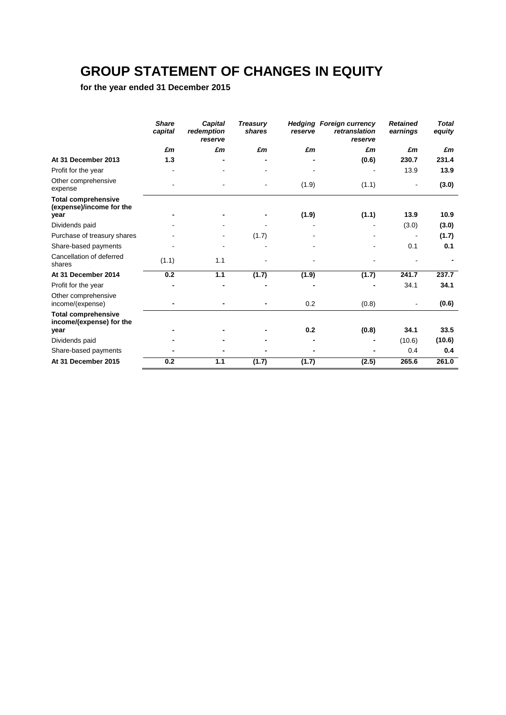# **GROUP STATEMENT OF CHANGES IN EQUITY**

**for the year ended 31 December 2015**

|                                                                | <b>Share</b><br>capital | <b>Capital</b><br>redemption<br>reserve | <b>Treasury</b><br>shares | reserve | <b>Hedging Foreign currency</b><br>retranslation<br>reserve | <b>Retained</b><br>earnings | <b>Total</b><br>equity |
|----------------------------------------------------------------|-------------------------|-----------------------------------------|---------------------------|---------|-------------------------------------------------------------|-----------------------------|------------------------|
|                                                                | £m                      | £m                                      | £m                        | £m      | £m                                                          | £m                          | £m                     |
| At 31 December 2013                                            | 1.3                     |                                         |                           |         | (0.6)                                                       | 230.7                       | 231.4                  |
| Profit for the year                                            |                         |                                         |                           |         |                                                             | 13.9                        | 13.9                   |
| Other comprehensive<br>expense                                 |                         |                                         |                           | (1.9)   | (1.1)                                                       |                             | (3.0)                  |
| <b>Total comprehensive</b><br>(expense)/income for the<br>year |                         |                                         |                           | (1.9)   | (1.1)                                                       | 13.9                        | 10.9                   |
| Dividends paid                                                 |                         |                                         |                           |         |                                                             | (3.0)                       | (3.0)                  |
| Purchase of treasury shares                                    |                         |                                         | (1.7)                     |         |                                                             |                             | (1.7)                  |
| Share-based payments                                           |                         |                                         |                           |         |                                                             | 0.1                         | 0.1                    |
| Cancellation of deferred<br>shares                             | (1.1)                   | 1.1                                     |                           |         |                                                             |                             |                        |
| At 31 December 2014                                            | 0.2                     | 1.1                                     | (1.7)                     | (1.9)   | (1.7)                                                       | 241.7                       | 237.7                  |
| Profit for the year                                            |                         |                                         |                           |         |                                                             | 34.1                        | 34.1                   |
| Other comprehensive<br>income/(expense)                        |                         |                                         | -                         | 0.2     | (0.8)                                                       |                             | (0.6)                  |
| <b>Total comprehensive</b><br>income/(expense) for the<br>year |                         |                                         |                           | 0.2     | (0.8)                                                       | 34.1                        | 33.5                   |
|                                                                |                         |                                         |                           |         |                                                             | (10.6)                      | (10.6)                 |
| Dividends paid<br>Share-based payments                         |                         |                                         |                           |         |                                                             | 0.4                         | 0.4                    |
| At 31 December 2015                                            | 0.2                     | 1.1                                     |                           |         |                                                             | 265.6                       | 261.0                  |
|                                                                |                         |                                         | (1.7)                     | (1.7)   | (2.5)                                                       |                             |                        |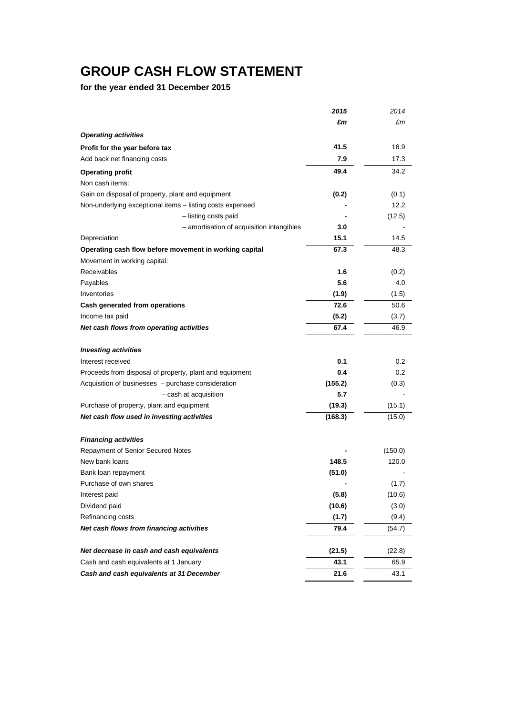# **GROUP CASH FLOW STATEMENT**

**for the year ended 31 December 2015**

|                                                           | 2015    | 2014    |
|-----------------------------------------------------------|---------|---------|
|                                                           | £m      | £m      |
| <b>Operating activities</b>                               |         |         |
| Profit for the year before tax                            | 41.5    | 16.9    |
| Add back net financing costs                              | 7.9     | 17.3    |
| <b>Operating profit</b>                                   | 49.4    | 34.2    |
| Non cash items:                                           |         |         |
| Gain on disposal of property, plant and equipment         | (0.2)   | (0.1)   |
| Non-underlying exceptional items - listing costs expensed |         | 12.2    |
| - listing costs paid                                      |         | (12.5)  |
| - amortisation of acquisition intangibles                 | 3.0     |         |
| Depreciation                                              | 15.1    | 14.5    |
| Operating cash flow before movement in working capital    | 67.3    | 48.3    |
| Movement in working capital:                              |         |         |
| Receivables                                               | 1.6     | (0.2)   |
| Payables                                                  | 5.6     | 4.0     |
| Inventories                                               | (1.9)   | (1.5)   |
| Cash generated from operations                            | 72.6    | 50.6    |
| Income tax paid                                           | (5.2)   | (3.7)   |
| Net cash flows from operating activities                  | 67.4    | 46.9    |
| <b>Investing activities</b>                               |         |         |
| Interest received                                         | 0.1     | 0.2     |
| Proceeds from disposal of property, plant and equipment   | 0.4     | 0.2     |
| Acquisition of businesses - purchase consideration        | (155.2) | (0.3)   |
| - cash at acquisition                                     | 5.7     |         |
| Purchase of property, plant and equipment                 | (19.3)  | (15.1)  |
| Net cash flow used in investing activities                | (168.3) | (15.0)  |
| <b>Financing activities</b>                               |         |         |
| Repayment of Senior Secured Notes                         |         | (150.0) |
| New bank loans                                            | 148.5   | 120.0   |
| Bank loan repayment                                       | (51.0)  |         |
| Purchase of own shares                                    |         | (1.7)   |
| Interest paid                                             | (5.8)   | (10.6)  |
| Dividend paid                                             | (10.6)  | (3.0)   |
| Refinancing costs                                         | (1.7)   | (9.4)   |
| Net cash flows from financing activities                  | 79.4    | (54.7)  |
| Net decrease in cash and cash equivalents                 | (21.5)  | (22.8)  |
| Cash and cash equivalents at 1 January                    | 43.1    | 65.9    |
| Cash and cash equivalents at 31 December                  | 21.6    | 43.1    |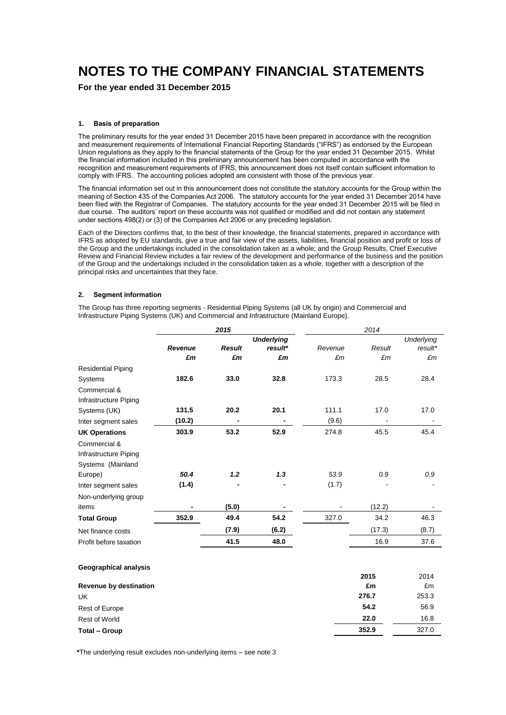# **NOTES TO THE COMPANY FINANCIAL STATEMENTS**

**For the year ended 31 December 2015**

### **1. Basis of preparation**

The preliminary results for the year ended 31 December 2015 have been prepared in accordance with the recognition and measurement requirements of International Financial Reporting Standards ("IFRS") as endorsed by the European Union regulations as they apply to the financial statements of the Group for the year ended 31 December 2015. Whilst the financial information included in this preliminary announcement has been computed in accordance with the recognition and measurement requirements of IFRS, this announcement does not itself contain sufficient information to comply with IFRS. The accounting policies adopted are consistent with those of the previous year.

The financial information set out in this announcement does not constitute the statutory accounts for the Group within the meaning of Section 435 of the Companies Act 2006. The statutory accounts for the year ended 31 December 2014 have been filed with the Registrar of Companies. The statutory accounts for the year ended 31 December 2015 will be filed in due course. The auditors' report on these accounts was not qualified or modified and did not contain any statement under sections 498(2) or (3) of the Companies Act 2006 or any preceding legislation.

Each of the Directors confirms that, to the best of their knowledge, the financial statements, prepared in accordance with IFRS as adopted by EU standards, give a true and fair view of the assets, liabilities, financial position and profit or loss of the Group and the undertakings included in the consolidation taken as a whole; and the Group Results, Chief Executive Review and Financial Review includes a fair review of the development and performance of the business and the position of the Group and the undertakings included in the consolidation taken as a whole, together with a description of the principal risks and uncertainties that they face.

## **2. Segment information**

The Group has three reporting segments - Residential Piping Systems (all UK by origin) and Commercial and Infrastructure Piping Systems (UK) and Commercial and Infrastructure (Mainland Europe).

| <b>Underlying</b><br><b>Result</b><br>Result<br><b>Revenue</b><br>result*<br>Revenue<br>£m<br>£m<br>£m<br>£m<br>£m<br><b>Residential Piping</b><br>182.6<br>33.0<br>32.8<br>173.3<br>28.5<br>Systems<br>Commercial &<br>Infrastructure Piping<br>131.5<br>20.1<br>111.1<br>17.0<br>20.2<br>Systems (UK) |                   |
|---------------------------------------------------------------------------------------------------------------------------------------------------------------------------------------------------------------------------------------------------------------------------------------------------------|-------------------|
|                                                                                                                                                                                                                                                                                                         | <b>Underlying</b> |
|                                                                                                                                                                                                                                                                                                         | result*           |
|                                                                                                                                                                                                                                                                                                         | £m                |
|                                                                                                                                                                                                                                                                                                         |                   |
|                                                                                                                                                                                                                                                                                                         | 28.4              |
|                                                                                                                                                                                                                                                                                                         |                   |
|                                                                                                                                                                                                                                                                                                         |                   |
|                                                                                                                                                                                                                                                                                                         | 17.0              |
| (10.2)<br>(9.6)<br>Inter segment sales                                                                                                                                                                                                                                                                  |                   |
| 303.9<br>53.2<br>52.9<br>274.8<br>45.5<br><b>UK Operations</b>                                                                                                                                                                                                                                          | 45.4              |
| Commercial &                                                                                                                                                                                                                                                                                            |                   |
| Infrastructure Piping                                                                                                                                                                                                                                                                                   |                   |
| Systems (Mainland                                                                                                                                                                                                                                                                                       |                   |
| 1.2<br>1.3<br>50.4<br>53.9<br>0.9<br>Europe)                                                                                                                                                                                                                                                            | 0.9               |
| (1.4)<br>(1.7)<br>Inter segment sales                                                                                                                                                                                                                                                                   |                   |
| Non-underlying group                                                                                                                                                                                                                                                                                    |                   |
| (5.0)<br>(12.2)<br>items<br>$\blacksquare$                                                                                                                                                                                                                                                              |                   |
| 54.2<br>352.9<br>49.4<br>327.0<br>34.2<br><b>Total Group</b>                                                                                                                                                                                                                                            | 46.3              |
| (7.9)<br>(17.3)<br>(6.2)<br>Net finance costs                                                                                                                                                                                                                                                           | (8.7)             |
| 41.5<br>48.0<br>16.9<br>Profit before taxation                                                                                                                                                                                                                                                          | 37.6              |

### **Geographical analysis**

|                        | 2015  | 2014  |
|------------------------|-------|-------|
| Revenue by destination | £m    | £m    |
| <b>UK</b>              | 276.7 | 253.3 |
| <b>Rest of Europe</b>  | 54.2  | 56.9  |
| Rest of World          | 22.0  | 16.8  |
| Total - Group          | 352.9 | 327.0 |

**\***The underlying result excludes non-underlying items – see note 3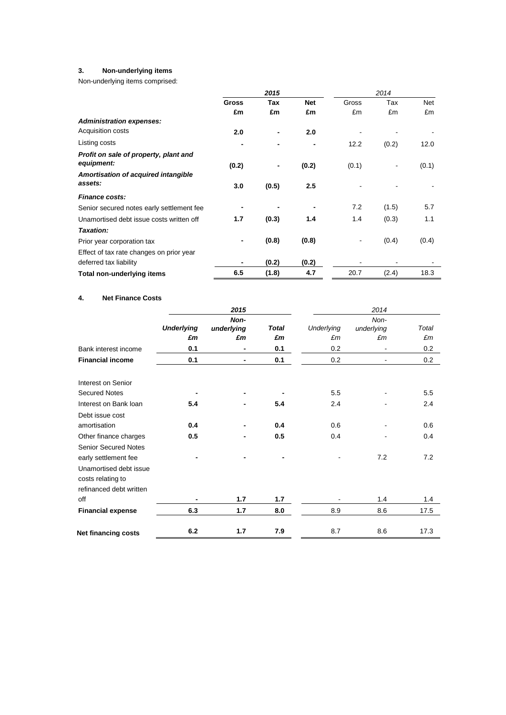# **3. Non-underlying items**

Non-underlying items comprised:

|                                           | 2015         |            |            | 2014  |       |            |
|-------------------------------------------|--------------|------------|------------|-------|-------|------------|
|                                           | <b>Gross</b> | <b>Tax</b> | <b>Net</b> | Gross | Tax   | <b>Net</b> |
|                                           | £m           | £m         | £m         | £m    | £m    | £m         |
| <b>Administration expenses:</b>           |              |            |            |       |       |            |
| Acquisition costs                         | 2.0          |            | 2.0        |       |       |            |
| Listing costs                             |              |            |            | 12.2  | (0.2) | 12.0       |
| Profit on sale of property, plant and     |              |            |            |       |       |            |
| equipment:                                | (0.2)        |            | (0.2)      | (0.1) |       | (0.1)      |
| Amortisation of acquired intangible       |              |            |            |       |       |            |
| assets:                                   | 3.0          | (0.5)      | 2.5        |       |       |            |
| <b>Finance costs:</b>                     |              |            |            |       |       |            |
| Senior secured notes early settlement fee |              |            |            | 7.2   | (1.5) | 5.7        |
| Unamortised debt issue costs written off  | 1.7          | (0.3)      | 1.4        | 1.4   | (0.3) | 1.1        |
| Taxation:                                 |              |            |            |       |       |            |
| Prior year corporation tax                |              | (0.8)      | (0.8)      |       | (0.4) | (0.4)      |
| Effect of tax rate changes on prior year  |              |            |            |       |       |            |
| deferred tax liability                    |              | (0.2)      | (0.2)      |       |       |            |
| Total non-underlying items                | 6.5          | (1.8)      | 4.7        | 20.7  | (2.4) | 18.3       |

## **4. Net Finance Costs**

|     | 2015                                         |                                   |                                         | 2014                                  |                         |
|-----|----------------------------------------------|-----------------------------------|-----------------------------------------|---------------------------------------|-------------------------|
|     | Non-                                         |                                   |                                         | Non-                                  | Total                   |
|     |                                              |                                   |                                         |                                       | £m                      |
|     |                                              |                                   |                                         |                                       | 0.2                     |
|     |                                              |                                   |                                         |                                       | 0.2                     |
|     |                                              |                                   |                                         |                                       |                         |
|     |                                              |                                   |                                         |                                       |                         |
|     |                                              |                                   | 5.5                                     |                                       | 5.5                     |
| 5.4 |                                              | 5.4                               | 2.4                                     |                                       | 2.4                     |
|     |                                              |                                   |                                         |                                       |                         |
| 0.4 |                                              | 0.4                               | 0.6                                     |                                       | 0.6                     |
| 0.5 |                                              | 0.5                               | 0.4                                     |                                       | 0.4                     |
|     |                                              |                                   |                                         |                                       |                         |
|     |                                              |                                   |                                         | 7.2                                   | 7.2                     |
|     |                                              |                                   |                                         |                                       |                         |
|     |                                              |                                   |                                         |                                       |                         |
|     |                                              |                                   |                                         |                                       |                         |
|     | 1.7                                          | 1.7                               |                                         | 1.4                                   | 1.4                     |
| 6.3 | 1.7                                          | 8.0                               | 8.9                                     | 8.6                                   | 17.5                    |
|     |                                              |                                   |                                         |                                       | 17.3                    |
|     | <b>Underlying</b><br>£m<br>0.1<br>0.1<br>6.2 | underlying<br>£m<br>٠<br>٠<br>1.7 | <b>Total</b><br>£m<br>0.1<br>0.1<br>7.9 | Underlying<br>£m<br>0.2<br>0.2<br>8.7 | underlying<br>£m<br>8.6 |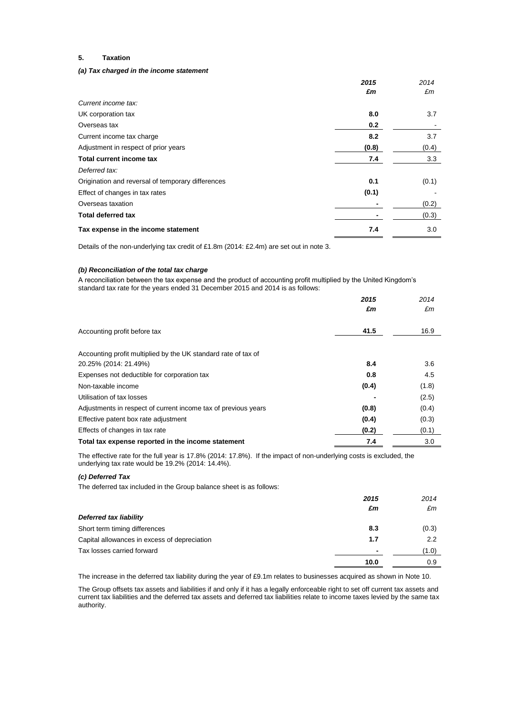### **5. Taxation**

### *(a) Tax charged in the income statement*

|                                                   | 2015  | 2014  |
|---------------------------------------------------|-------|-------|
|                                                   | £m    | £m    |
| Current income tax:                               |       |       |
| UK corporation tax                                | 8.0   | 3.7   |
| Overseas tax                                      | 0.2   |       |
| Current income tax charge                         | 8.2   | 3.7   |
| Adjustment in respect of prior years              | (0.8) | (0.4) |
| Total current income tax                          | 7.4   | 3.3   |
| Deferred tax:                                     |       |       |
| Origination and reversal of temporary differences | 0.1   | (0.1) |
| Effect of changes in tax rates                    | (0.1) |       |
| Overseas taxation                                 |       | (0.2) |
| <b>Total deferred tax</b>                         |       | (0.3) |
| Tax expense in the income statement               | 7.4   | 3.0   |

Details of the non-underlying tax credit of £1.8m (2014: £2.4m) are set out in note 3.

### *(b) Reconciliation of the total tax charge*

A reconciliation between the tax expense and the product of accounting profit multiplied by the United Kingdom's standard tax rate for the years ended 31 December 2015 and 2014 is as follows:

|                                                                | 2015  | 2014  |
|----------------------------------------------------------------|-------|-------|
|                                                                | £m    | £m    |
|                                                                |       |       |
| Accounting profit before tax                                   | 41.5  | 16.9  |
|                                                                |       |       |
| Accounting profit multiplied by the UK standard rate of tax of |       |       |
| 20.25% (2014: 21.49%)                                          | 8.4   | 3.6   |
| Expenses not deductible for corporation tax                    | 0.8   | 4.5   |
| Non-taxable income                                             | (0.4) | (1.8) |
| Utilisation of tax losses                                      |       | (2.5) |
| Adjustments in respect of current income tax of previous years | (0.8) | (0.4) |
| Effective patent box rate adjustment                           | (0.4) | (0.3) |
| Effects of changes in tax rate                                 | (0.2) | (0.1) |
| Total tax expense reported in the income statement             | 7.4   | 3.0   |

The effective rate for the full year is 17.8% (2014: 17.8%). If the impact of non-underlying costs is excluded, the underlying tax rate would be 19.2% (2014: 14.4%).

### *(c) Deferred Tax*

The deferred tax included in the Group balance sheet is as follows:

|                                              | 2015 | 2014  |
|----------------------------------------------|------|-------|
|                                              | £m   | £m    |
| Deferred tax liability                       |      |       |
| Short term timing differences                | 8.3  | (0.3) |
| Capital allowances in excess of depreciation | 1.7  | 2.2   |
| Tax losses carried forward                   | -    | (1.0) |
|                                              | 10.0 | 0.9   |

The increase in the deferred tax liability during the year of £9.1m relates to businesses acquired as shown in Note 10.

The Group offsets tax assets and liabilities if and only if it has a legally enforceable right to set off current tax assets and current tax liabilities and the deferred tax assets and deferred tax liabilities relate to income taxes levied by the same tax authority.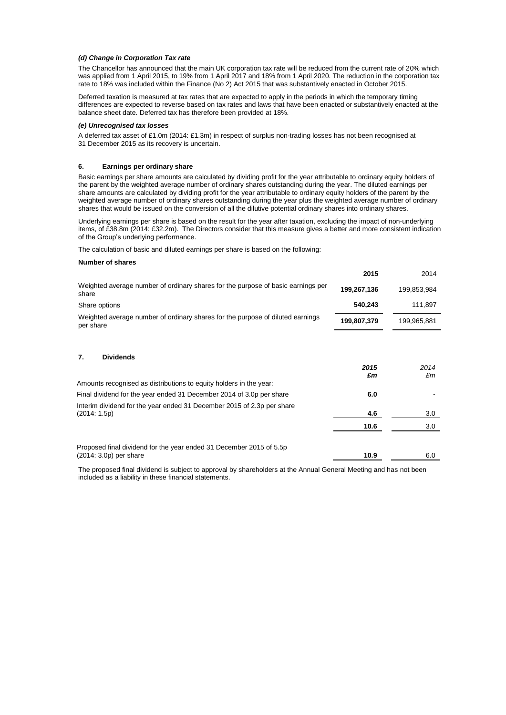### *(d) Change in Corporation Tax rate*

The Chancellor has announced that the main UK corporation tax rate will be reduced from the current rate of 20% which was applied from 1 April 2015, to 19% from 1 April 2017 and 18% from 1 April 2020. The reduction in the corporation tax rate to 18% was included within the Finance (No 2) Act 2015 that was substantively enacted in October 2015.

Deferred taxation is measured at tax rates that are expected to apply in the periods in which the temporary timing differences are expected to reverse based on tax rates and laws that have been enacted or substantively enacted at the balance sheet date. Deferred tax has therefore been provided at 18%.

#### *(e) Unrecognised tax losses*

A deferred tax asset of £1.0m (2014: £1.3m) in respect of surplus non-trading losses has not been recognised at 31 December 2015 as its recovery is uncertain.

### **6. Earnings per ordinary share**

Basic earnings per share amounts are calculated by dividing profit for the year attributable to ordinary equity holders of the parent by the weighted average number of ordinary shares outstanding during the year. The diluted earnings per share amounts are calculated by dividing profit for the year attributable to ordinary equity holders of the parent by the weighted average number of ordinary shares outstanding during the year plus the weighted average number of ordinary shares that would be issued on the conversion of all the dilutive potential ordinary shares into ordinary shares.

Underlying earnings per share is based on the result for the year after taxation, excluding the impact of non-underlying items, of £38.8m (2014: £32.2m). The Directors consider that this measure gives a better and more consistent indication of the Group's underlying performance.

The calculation of basic and diluted earnings per share is based on the following:

#### **Number of shares**

|                                                                                             | 2015        | 2014        |
|---------------------------------------------------------------------------------------------|-------------|-------------|
| Weighted average number of ordinary shares for the purpose of basic earnings per<br>share   | 199,267,136 | 199,853,984 |
| Share options                                                                               | 540,243     | 111,897     |
| Weighted average number of ordinary shares for the purpose of diluted earnings<br>per share | 199,807,379 | 199,965,881 |
| <b>Dividends</b><br>7.                                                                      |             |             |
|                                                                                             | 2015<br>£m  | 2014<br>£m  |
| Amounts recognised as distributions to equity holders in the year:                          |             |             |
| Final dividend for the year ended 31 December 2014 of 3.0p per share                        | 6.0         |             |
| Interim dividend for the year ended 31 December 2015 of 2.3p per share<br>(2014:1.5p)       | 4.6         | 3.0         |
|                                                                                             | 10.6        | 3.0         |
| Proposed final dividend for the year ended 31 December 2015 of 5.5p                         |             |             |
| $(2014: 3.0p)$ per share                                                                    | 10.9        | 6.0         |

The proposed final dividend is subject to approval by shareholders at the Annual General Meeting and has not been included as a liability in these financial statements.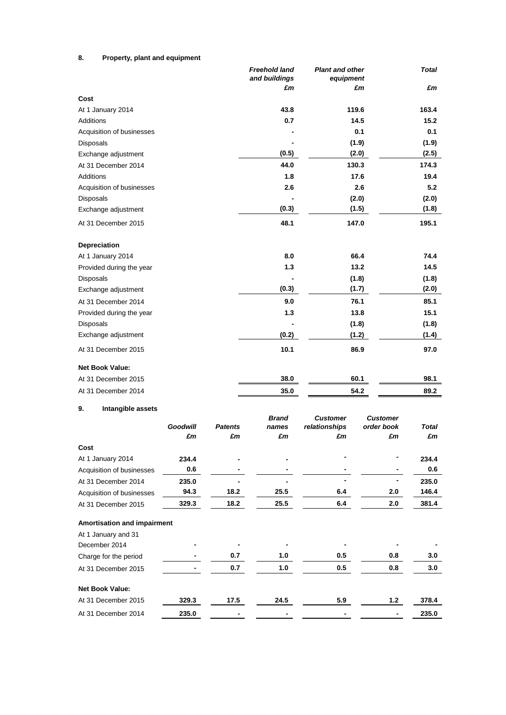# **8. Property, plant and equipment**

|                             |                 |                | Freehold land<br>and buildings<br>£m | <b>Plant and other</b><br>equipment | £m                            | <b>Total</b><br>£m |
|-----------------------------|-----------------|----------------|--------------------------------------|-------------------------------------|-------------------------------|--------------------|
| Cost                        |                 |                |                                      |                                     |                               |                    |
| At 1 January 2014           |                 |                | 43.8                                 |                                     | 119.6                         | 163.4              |
| Additions                   |                 |                | 0.7                                  |                                     | 14.5                          | 15.2               |
| Acquisition of businesses   |                 |                |                                      |                                     | 0.1                           | 0.1                |
| Disposals                   |                 |                |                                      |                                     | (1.9)                         | (1.9)              |
| Exchange adjustment         |                 |                | (0.5)                                |                                     | (2.0)                         | (2.5)              |
| At 31 December 2014         |                 |                | 44.0                                 |                                     | 130.3                         | 174.3              |
| <b>Additions</b>            |                 |                | 1.8                                  |                                     | 17.6                          | 19.4               |
| Acquisition of businesses   |                 |                | 2.6                                  |                                     | 2.6                           | 5.2                |
| Disposals                   |                 |                |                                      |                                     | (2.0)                         | (2.0)              |
| Exchange adjustment         |                 |                | (0.3)                                |                                     | (1.5)                         | (1.8)              |
| At 31 December 2015         |                 |                | 48.1                                 |                                     | 147.0                         | 195.1              |
| <b>Depreciation</b>         |                 |                |                                      |                                     |                               |                    |
| At 1 January 2014           |                 |                | 8.0                                  |                                     | 66.4                          | 74.4               |
| Provided during the year    |                 |                | 1.3                                  |                                     | 13.2                          | 14.5               |
| Disposals                   |                 |                |                                      |                                     | (1.8)                         | (1.8)              |
| Exchange adjustment         |                 |                | (0.3)                                |                                     | (1.7)                         | (2.0)              |
| At 31 December 2014         |                 |                | 9.0                                  |                                     | 76.1                          | 85.1               |
| Provided during the year    |                 |                | 1.3                                  |                                     | 13.8                          | 15.1               |
| Disposals                   |                 |                |                                      |                                     | (1.8)                         | (1.8)              |
| Exchange adjustment         |                 |                | (0.2)                                |                                     | (1.2)                         | (1.4)              |
| At 31 December 2015         |                 |                | 10.1                                 |                                     | 86.9                          | 97.0               |
| <b>Net Book Value:</b>      |                 |                |                                      |                                     |                               |                    |
| At 31 December 2015         |                 |                | 38.0                                 |                                     | 60.1                          | 98.1               |
| At 31 December 2014         |                 |                | 35.0                                 |                                     | 54.2                          | 89.2               |
| Intangible assets<br>9.     |                 |                |                                      |                                     |                               |                    |
|                             | <b>Goodwill</b> | <b>Patents</b> | <b>Brand</b><br>names                | <b>Customer</b><br>relationships    | <b>Customer</b><br>order book | Total              |
|                             | £m              | £m             | £m                                   | £m                                  | £m                            | £m                 |
| Cost                        |                 |                |                                      |                                     |                               |                    |
| At 1 January 2014           | 234.4           |                |                                      |                                     |                               | 234.4              |
| Acquisition of businesses   | 0.6             |                |                                      |                                     |                               | 0.6                |
| At 31 December 2014         | 235.0           |                |                                      |                                     |                               | 235.0              |
| Acquisition of businesses   | 94.3            | 18.2           | 25.5                                 | 6.4                                 | 2.0                           | 146.4              |
| At 31 December 2015         | 329.3           | 18.2           | 25.5                                 | 6.4                                 | 2.0                           | 381.4              |
| Amortisation and impairment |                 |                |                                      |                                     |                               |                    |
| At 1 January and 31         |                 |                |                                      |                                     |                               |                    |
| December 2014               |                 |                |                                      |                                     |                               |                    |
| Charge for the period       |                 | 0.7            | 1.0                                  | 0.5                                 | 0.8                           | 3.0                |
| At 31 December 2015         |                 | 0.7            | 1.0                                  | 0.5                                 | 0.8                           | 3.0                |
| <b>Net Book Value:</b>      |                 |                |                                      |                                     |                               |                    |
| At 31 December 2015         | 329.3           | 17.5           | 24.5                                 | 5.9                                 | 1.2                           | 378.4              |
| At 31 December 2014         | 235.0           |                |                                      |                                     |                               | 235.0              |
|                             |                 |                |                                      |                                     |                               |                    |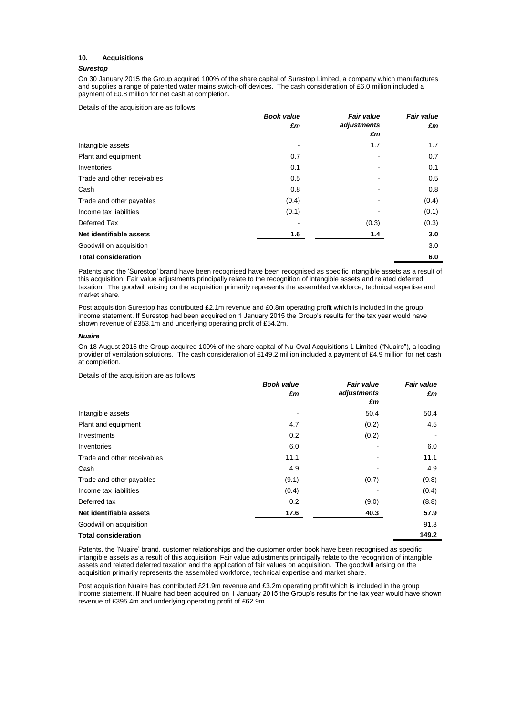## **10. Acquisitions**

# *Surestop*

On 30 January 2015 the Group acquired 100% of the share capital of Surestop Limited, a company which manufactures and supplies a range of patented water mains switch-off devices. The cash consideration of £6.0 million included a payment of £0.8 million for net cash at completion.

Details of the acquisition are as follows:

|                             | <b>Book value</b> | <b>Fair value</b> | <b>Fair value</b> |
|-----------------------------|-------------------|-------------------|-------------------|
|                             | £m                | adjustments<br>£m | £m                |
| Intangible assets           |                   | 1.7               | 1.7               |
| Plant and equipment         | 0.7               |                   | 0.7               |
| Inventories                 | 0.1               |                   | 0.1               |
| Trade and other receivables | 0.5               |                   | 0.5               |
| Cash                        | 0.8               |                   | 0.8               |
| Trade and other payables    | (0.4)             |                   | (0.4)             |
| Income tax liabilities      | (0.1)             |                   | (0.1)             |
| Deferred Tax                |                   | (0.3)             | (0.3)             |
| Net identifiable assets     | 1.6               | 1.4               | 3.0               |
| Goodwill on acquisition     |                   |                   | 3.0               |
| <b>Total consideration</b>  |                   |                   | 6.0               |

Patents and the 'Surestop' brand have been recognised have been recognised as specific intangible assets as a result of this acquisition. Fair value adjustments principally relate to the recognition of intangible assets and related deferred taxation. The goodwill arising on the acquisition primarily represents the assembled workforce, technical expertise and market share.

Post acquisition Surestop has contributed £2.1m revenue and £0.8m operating profit which is included in the group income statement. If Surestop had been acquired on 1 January 2015 the Group's results for the tax year would have shown revenue of £353.1m and underlying operating profit of £54.2m.

#### *Nuaire*

On 18 August 2015 the Group acquired 100% of the share capital of Nu-Oval Acquisitions 1 Limited ("Nuaire"), a leading provider of ventilation solutions. The cash consideration of £149.2 million included a payment of £4.9 million for net cash at completion.

Details of the acquisition are as follows:

|                             | <b>Book value</b> | <b>Fair value</b> | <b>Fair value</b><br>£m |
|-----------------------------|-------------------|-------------------|-------------------------|
|                             | £m                | adjustments       |                         |
|                             |                   | £m                |                         |
| Intangible assets           |                   | 50.4              | 50.4                    |
| Plant and equipment         | 4.7               | (0.2)             | 4.5                     |
| Investments                 | 0.2               | (0.2)             |                         |
| Inventories                 | 6.0               |                   | 6.0                     |
| Trade and other receivables | 11.1              |                   | 11.1                    |
| Cash                        | 4.9               |                   | 4.9                     |
| Trade and other payables    | (9.1)             | (0.7)             | (9.8)                   |
| Income tax liabilities      | (0.4)             |                   | (0.4)                   |
| Deferred tax                | 0.2               | (9.0)             | (8.8)                   |
| Net identifiable assets     | 17.6              | 40.3              | 57.9                    |
| Goodwill on acquisition     |                   |                   | 91.3                    |
| <b>Total consideration</b>  |                   |                   | 149.2                   |

Patents, the 'Nuaire' brand, customer relationships and the customer order book have been recognised as specific intangible assets as a result of this acquisition. Fair value adjustments principally relate to the recognition of intangible assets and related deferred taxation and the application of fair values on acquisition. The goodwill arising on the acquisition primarily represents the assembled workforce, technical expertise and market share.

Post acquisition Nuaire has contributed £21.9m revenue and £3.2m operating profit which is included in the group income statement. If Nuaire had been acquired on 1 January 2015 the Group's results for the tax year would have shown revenue of £395.4m and underlying operating profit of £62.9m.